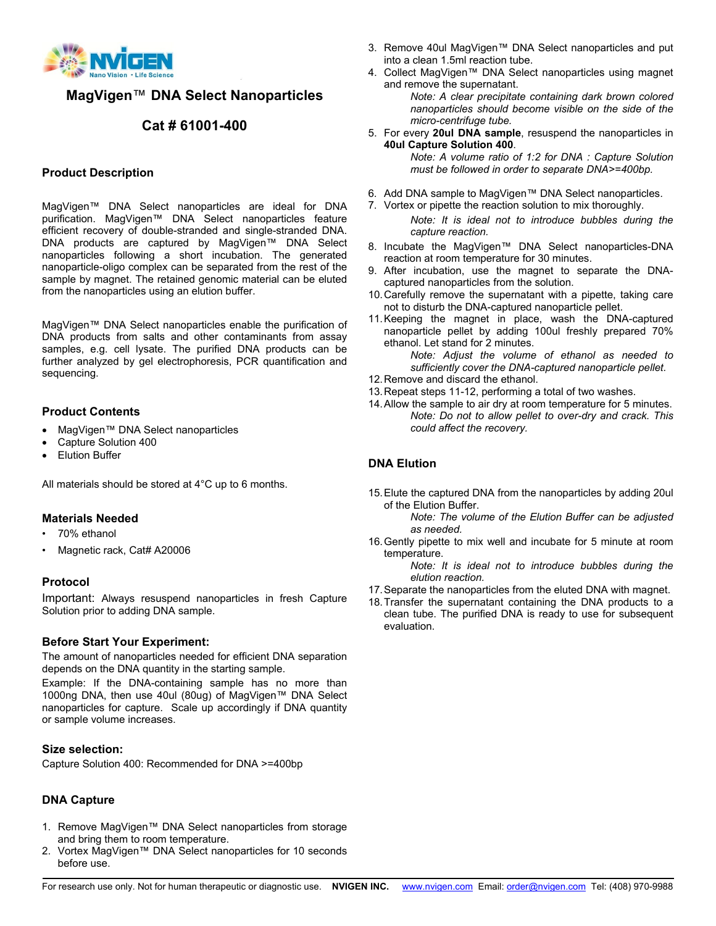

**MagVigen**™ **DNA Select Nanoparticles**

# **Cat # 61001-400**

### **Product Description**

MagVigen™ DNA Select nanoparticles are ideal for DNA purification. MagVigen™ DNA Select nanoparticles feature efficient recovery of double-stranded and single-stranded DNA. DNA products are captured by MagVigen™ DNA Select nanoparticles following a short incubation. The generated nanoparticle-oligo complex can be separated from the rest of the sample by magnet. The retained genomic material can be eluted from the nanoparticles using an elution buffer.

MagVigen™ DNA Select nanoparticles enable the purification of DNA products from salts and other contaminants from assay samples, e.g. cell lysate. The purified DNA products can be further analyzed by gel electrophoresis, PCR quantification and sequencing.

### **Product Contents**

- MagVigen™ DNA Select nanoparticles
- Capture Solution 400
- Elution Buffer

All materials should be stored at 4°C up to 6 months.

### **Materials Needed**

- 70% ethanol
- Magnetic rack, Cat# A20006

### **Protocol**

Important: Always resuspend nanoparticles in fresh Capture Solution prior to adding DNA sample.

### **Before Start Your Experiment:**

The amount of nanoparticles needed for efficient DNA separation depends on the DNA quantity in the starting sample.

Example: If the DNA-containing sample has no more than 1000ng DNA, then use 40ul (80ug) of MagVigen™ DNA Select nanoparticles for capture. Scale up accordingly if DNA quantity or sample volume increases.

#### **Size selection:**

Capture Solution 400: Recommended for DNA >=400bp

### **DNA Capture**

- 1. Remove MagVigen™ DNA Select nanoparticles from storage and bring them to room temperature.
- 2. Vortex MagVigen™ DNA Select nanoparticles for 10 seconds before use.
- 3. Remove 40ul MagVigen™ DNA Select nanoparticles and put into a clean 1.5ml reaction tube.
- 4. Collect MagVigen™ DNA Select nanoparticles using magnet and remove the supernatant.

*Note: A clear precipitate containing dark brown colored nanoparticles should become visible on the side of the micro-centrifuge tube.*

5. For every **20ul DNA sample**, resuspend the nanoparticles in **40ul Capture Solution 400**.

*Note: A volume ratio of 1:2 for DNA : Capture Solution must be followed in order to separate DNA>=400bp.*

- 6. Add DNA sample to MagVigen™ DNA Select nanoparticles.
- 7. Vortex or pipette the reaction solution to mix thoroughly.

*Note: It is ideal not to introduce bubbles during the capture reaction.*

- 8. Incubate the MagVigen™ DNA Select nanoparticles-DNA reaction at room temperature for 30 minutes.
- 9. After incubation, use the magnet to separate the DNAcaptured nanoparticles from the solution.
- 10.Carefully remove the supernatant with a pipette, taking care not to disturb the DNA-captured nanoparticle pellet.
- 11.Keeping the magnet in place, wash the DNA-captured nanoparticle pellet by adding 100ul freshly prepared 70% ethanol. Let stand for 2 minutes.

*Note: Adjust the volume of ethanol as needed to sufficiently cover the DNA-captured nanoparticle pellet.*

- 12.Remove and discard the ethanol.
- 13.Repeat steps 11-12, performing a total of two washes.
- 14.Allow the sample to air dry at room temperature for 5 minutes. *Note: Do not to allow pellet to over-dry and crack. This could affect the recovery.*

## **DNA Elution**

15.Elute the captured DNA from the nanoparticles by adding 20ul of the Elution Buffer.

*Note: The volume of the Elution Buffer can be adjusted as needed.*

16.Gently pipette to mix well and incubate for 5 minute at room temperature.

*Note: It is ideal not to introduce bubbles during the elution reaction.*

- 17.Separate the nanoparticles from the eluted DNA with magnet.
- 18.Transfer the supernatant containing the DNA products to a clean tube. The purified DNA is ready to use for subsequent evaluation.